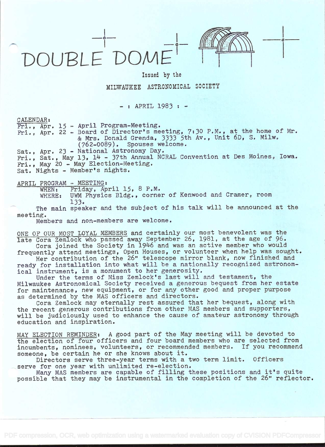



o

Issued by the

## MILWAUKEE ASTRONOMICAL SOCIETY

 $-$  : APRIL 1983 :  $-$ 

CALENDAR:

Fri., Apr. 15 - April Program-Meeting.

Fri., Apr. 22 - Board of Director's meeting, 7:30 P.M., at the home of Mr. & Mrs. Donald Grenda, 3333 5th Av., Unit 6D, S. Milw. (762-0089). Spouses welcome.

Sat., Apr. 23 - National Astronomy Day. Fri., Sat., May 13, 14 - 37th Annual NCRAL Convention at Des Moines, Iowa. Fri., May 20 - May Election-Meeting. Sat. Nights - Member's nights.

APRIL PROGRAM - MEETING:<br>WHEN: Friday, Ap

WHEN: Friday, April 15, 8 P.M.<br>WHERE: UWM Physics Bldg., corne UWM Physics Bldg., corner of Kenwood and Cramer, room i 33.

The main speaker and the subject of his talk will be announced at the meeting.

Members and non-members are welcome.

ONE OF OUR MOST LOYAL MEMBERS and certainly our most benevolent was the late Cora Zemlock who passed away September 26, 1981, at the age of 96. Cora joined the Society in 1946 and was an active member who would

frequently attend meetings, Open Houses, or volunteer when help was sought.

Her contribution of the 26" telescope mirror blank, now finished and ready for installation into what will be a nationally recognized astronomical instrument, is a monument to her generosity.

Under the terms of Miss Zemlock's last will and testament, the Milwaukee Astronomical Society received a generous bequest from her estate for maintenance, new equipment, or for any other good and proper purpose as determined by the MAS officers and directors.

Cora Zemlock may eternally rest assured that her bequest, along with the recent generous contributions from other MAS members and supporters, will be judiciously used to enhance the cause of amateur astronomy through education and inspiration.

MAY ELECTION REMINDER: A good part of the May meeting will be devoted to the election of four officers and four board members who are selected from incumbents, nominees, volunteers, or recommended members. If you recommend someone, be certain he or she knows about it.

Directors serve three-year terms with a two term limit. Officers serve for one year with unlimited re-election.

Many MAS members are capable of filling these positions and it's quite possible that they may be instrumental in the completion of the 26" reflector.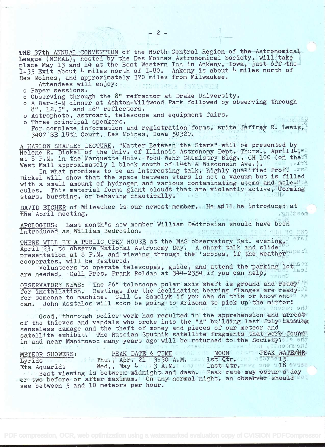THE 37th ANNUAL CONVENTION of the North Central Region of the Astronomical League (NCRAL) hosted by the Des Moines Astronomical Society, will take place May 13 and 14 at the Best Western Inn in Ankeny, Iowa, just off the I-35 Exit about 4 miles north of I-80. Ankeny is about 4 miles north of Des Moines, and approximately 370 miles from Milwaukee.

Attendees will enjoys and soff a soliday in

- o Paper sessions.
- o Observing through the 8" refractor at Drake University.
- <sup>o</sup>A Bar-B-Q dinner at Ashton-Wildwood Park followed by observing through 8", 12.5", and 16" reflectors,
- o Astrophoto, astroart, telescope and equipment fairs.
- o Three principal speakers. For complete information and registration forms, write Jeffrey R. Lewis, 31+07 SE 18th Court, Des Moines, Iowa 50320.

A HARLOW SHAPLEY LECTURE, "Matter Between the Stars" will be presented by Helene R. Dickel of the Univ. of Illinois Astronomy Dept. Thurs,, April 14,82 at 8 P.M. in the Marquette Univ. Todd Wehr Chemistry Bldg., CH 100 (on the 11 West Mall approximately 1 block south of 14th & Wisconsin Ave.).

In what promises to be an interesting talk, highly qualified Prof. . JEE Dickel will show that the space between stars is not a vacuum but is filled with a small amount of hydrogen and various contaminating atoms and mole. cules. This material forms giant clouds that are violently active, förming stars, bursting, or behaving chaotically.

DAVID EICHER of Milwaukee is our newest member. He will be introduced at the April meeting. the April meeting.

APOLOGIES: Last month's new member William Dedtrosian should have been introduced as William Bedrosian. **PUO RO EMO** 

THERE WILL BE A PUBLIC OPEN HOUSE at the MAS observatory Sat. evening, April 23, to observe National Astronomy Day. A short talk and slide presentation at 8 P.M. and viewing through the 'scopes, if the weather uperl cooperates, will be featured.

Volunteers to operate telescopes, guide, and attend the parking lot are needed. Call Pres. Frank Roldan at 344-2354 if you can help.

OBSERVATORY NEWS: The 26" telescope polar axis shaft is ground and ready in for installation. Castings for the declination bearing flanges are ready<sup>101</sup> for someone to machine. Call G. Samolyk if you can do this or know whose as can. John Asztalos will soon be going to Arizona to pick up the mirror!

Good, thorough police work has resulted in the apprehension and arrest of the thieves and vandals who broke into the "A" building last July causing senseless damage and the theft of money and pieces of our meteor and satellite exhibit. The Russian Sputnik satellite fragments that were found in and near Manitowoc many years ago will be returned to the Society. Is snow

| the second control of the control of the second control of the second control of the second control of the second control of the second control of the second control of the second control of the second control of the secon |  |
|--------------------------------------------------------------------------------------------------------------------------------------------------------------------------------------------------------------------------------|--|
| PEAK DATE & TIME SYONE SIS MOON ALBOYS PEAK RATE/HRS<br>METEOR SHOWERS:                                                                                                                                                        |  |
| Lyrids No. Thu., Apr. 21 3:30 A.M. Assilst Qtr. 18. 87070915                                                                                                                                                                   |  |
| Wed., May 4 3 3 A.M. Case Last Qtr. They are 118 syres<br>Eta Aquarids                                                                                                                                                         |  |
| Best viewing is between midnight and dawn. Peak rate may occur a day                                                                                                                                                           |  |
| or two before or after maximum. On any normal night, an observer should are                                                                                                                                                    |  |
| see between 5 and 10 meteors per hour.                                                                                                                                                                                         |  |